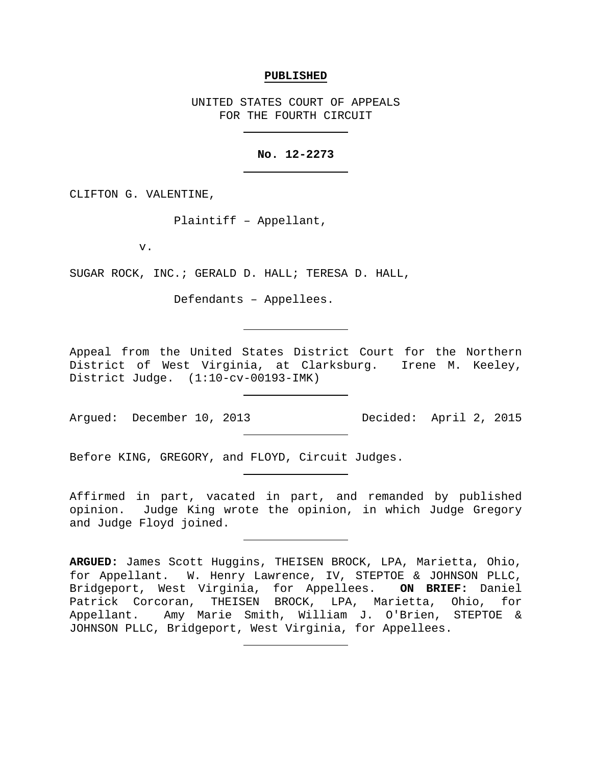## **PUBLISHED**

UNITED STATES COURT OF APPEALS FOR THE FOURTH CIRCUIT

## **No. 12-2273**

CLIFTON G. VALENTINE,

Plaintiff – Appellant,

v.

SUGAR ROCK, INC.; GERALD D. HALL; TERESA D. HALL,

Defendants – Appellees.

Appeal from the United States District Court for the Northern District of West Virginia, at Clarksburg. Irene M. Keeley, District Judge. (1:10-cv-00193-IMK)

Argued: December 10, 2013 Decided: April 2, 2015

Before KING, GREGORY, and FLOYD, Circuit Judges.

Affirmed in part, vacated in part, and remanded by published opinion. Judge King wrote the opinion, in which Judge Gregory and Judge Floyd joined.

**ARGUED:** James Scott Huggins, THEISEN BROCK, LPA, Marietta, Ohio, for Appellant. W. Henry Lawrence, IV, STEPTOE & JOHNSON PLLC, Bridgeport, West Virginia, for Appellees. **ON BRIEF:** Daniel Patrick Corcoran, THEISEN BROCK, LPA, Marietta, Ohio, for Appellant. Amy Marie Smith, William J. O'Brien, STEPTOE & JOHNSON PLLC, Bridgeport, West Virginia, for Appellees.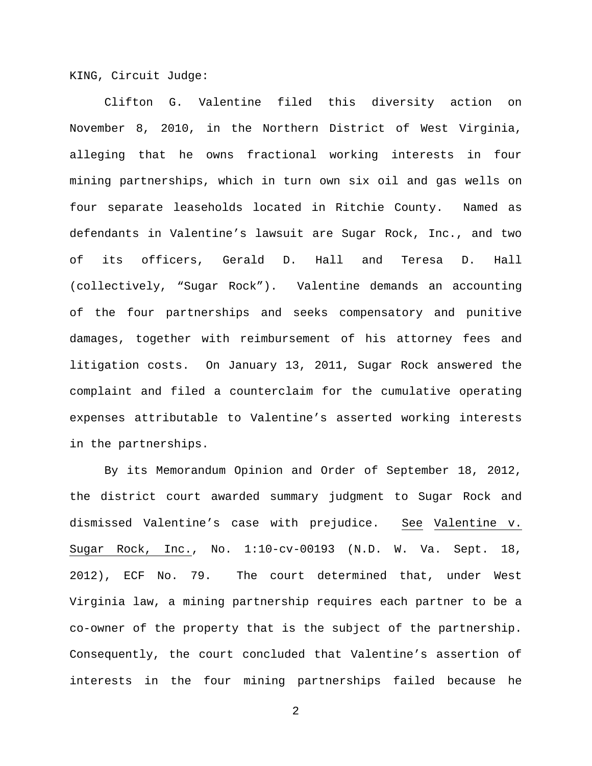KING, Circuit Judge:

Clifton G. Valentine filed this diversity action on November 8, 2010, in the Northern District of West Virginia, alleging that he owns fractional working interests in four mining partnerships, which in turn own six oil and gas wells on four separate leaseholds located in Ritchie County. Named as defendants in Valentine's lawsuit are Sugar Rock, Inc., and two of its officers, Gerald D. Hall and Teresa D. Hall (collectively, "Sugar Rock"). Valentine demands an accounting of the four partnerships and seeks compensatory and punitive damages, together with reimbursement of his attorney fees and litigation costs. On January 13, 2011, Sugar Rock answered the complaint and filed a counterclaim for the cumulative operating expenses attributable to Valentine's asserted working interests in the partnerships.

By its Memorandum Opinion and Order of September 18, 2012, the district court awarded summary judgment to Sugar Rock and dismissed Valentine's case with prejudice. See Valentine v. Sugar Rock, Inc., No. 1:10-cv-00193 (N.D. W. Va. Sept. 18, 2012), ECF No. 79. The court determined that, under West Virginia law, a mining partnership requires each partner to be a co-owner of the property that is the subject of the partnership. Consequently, the court concluded that Valentine's assertion of interests in the four mining partnerships failed because he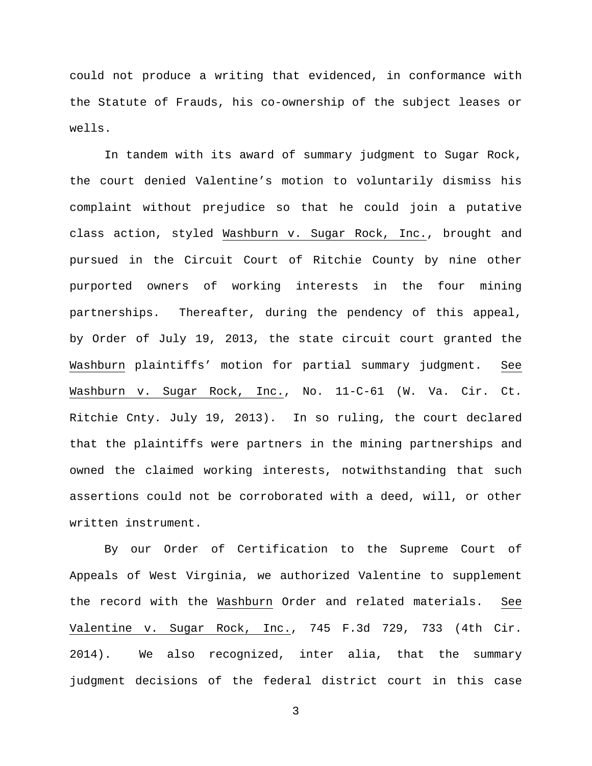could not produce a writing that evidenced, in conformance with the Statute of Frauds, his co-ownership of the subject leases or wells.

In tandem with its award of summary judgment to Sugar Rock, the court denied Valentine's motion to voluntarily dismiss his complaint without prejudice so that he could join a putative class action, styled Washburn v. Sugar Rock, Inc., brought and pursued in the Circuit Court of Ritchie County by nine other purported owners of working interests in the four mining partnerships. Thereafter, during the pendency of this appeal, by Order of July 19, 2013, the state circuit court granted the Washburn plaintiffs' motion for partial summary judgment. See Washburn v. Sugar Rock, Inc., No. 11-C-61 (W. Va. Cir. Ct. Ritchie Cnty. July 19, 2013). In so ruling, the court declared that the plaintiffs were partners in the mining partnerships and owned the claimed working interests, notwithstanding that such assertions could not be corroborated with a deed, will, or other written instrument.

By our Order of Certification to the Supreme Court of Appeals of West Virginia, we authorized Valentine to supplement the record with the Washburn Order and related materials. See Valentine v. Sugar Rock, Inc., 745 F.3d 729, 733 (4th Cir. 2014). We also recognized, inter alia, that the summary judgment decisions of the federal district court in this case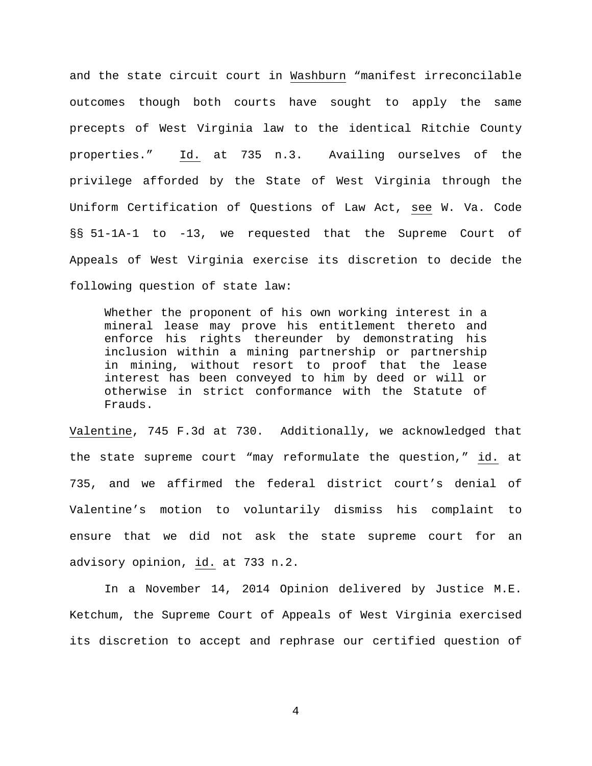and the state circuit court in Washburn "manifest irreconcilable outcomes though both courts have sought to apply the same precepts of West Virginia law to the identical Ritchie County properties." Id. at 735 n.3. Availing ourselves of the privilege afforded by the State of West Virginia through the Uniform Certification of Questions of Law Act, see W. Va. Code §§ 51-1A-1 to -13, we requested that the Supreme Court of Appeals of West Virginia exercise its discretion to decide the following question of state law:

Whether the proponent of his own working interest in a mineral lease may prove his entitlement thereto and enforce his rights thereunder by demonstrating his inclusion within a mining partnership or partnership in mining, without resort to proof that the lease interest has been conveyed to him by deed or will or otherwise in strict conformance with the Statute of Frauds.

Valentine, 745 F.3d at 730. Additionally, we acknowledged that the state supreme court "may reformulate the question," id. at 735, and we affirmed the federal district court's denial of Valentine's motion to voluntarily dismiss his complaint to ensure that we did not ask the state supreme court for an advisory opinion, id. at 733 n.2.

In a November 14, 2014 Opinion delivered by Justice M.E. Ketchum, the Supreme Court of Appeals of West Virginia exercised its discretion to accept and rephrase our certified question of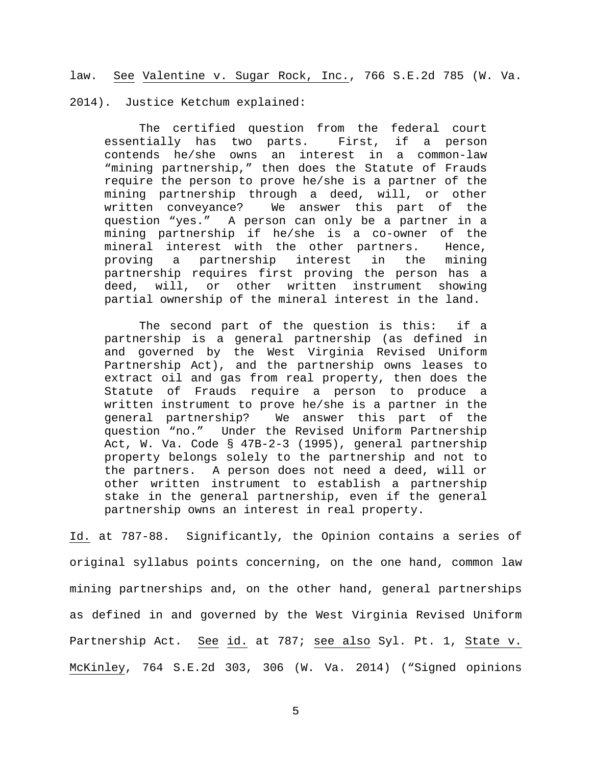law. See Valentine v. Sugar Rock, Inc., 766 S.E.2d 785 (W. Va.

2014). Justice Ketchum explained:

The certified question from the federal court<br>tially has two parts. First, if a person essentially has two parts. First, if a person contends he/she owns an interest in a common-law "mining partnership," then does the Statute of Frauds require the person to prove he/she is a partner of the mining partnership through a deed, will, or other<br>written conveyance? We answer this part of the We answer this part of the question "yes." A person can only be a partner in a mining partnership if he/she is a co-owner of the mineral interest with the other partners. Hence,<br>proving a partnership interest in the mining proving a partnership interest in the mining partnership requires first proving the person has a deed, will, or other written instrument showing partial ownership of the mineral interest in the land.

The second part of the question is this: if a partnership is a general partnership (as defined in and governed by the West Virginia Revised Uniform Partnership Act), and the partnership owns leases to extract oil and gas from real property, then does the Statute of Frauds require a person to produce a written instrument to prove he/she is a partner in the general partnership? We answer this part of the question "no." Under the Revised Uniform Partnership Act, W. Va. Code § 47B-2-3 (1995), general partnership property belongs solely to the partnership and not to the partners. A person does not need a deed, will or other written instrument to establish a partnership stake in the general partnership, even if the general partnership owns an interest in real property.

Id. at 787-88. Significantly, the Opinion contains a series of original syllabus points concerning, on the one hand, common law mining partnerships and, on the other hand, general partnerships as defined in and governed by the West Virginia Revised Uniform Partnership Act. See id. at 787; see also Syl. Pt. 1, State v. McKinley, 764 S.E.2d 303, 306 (W. Va. 2014) ("Signed opinions